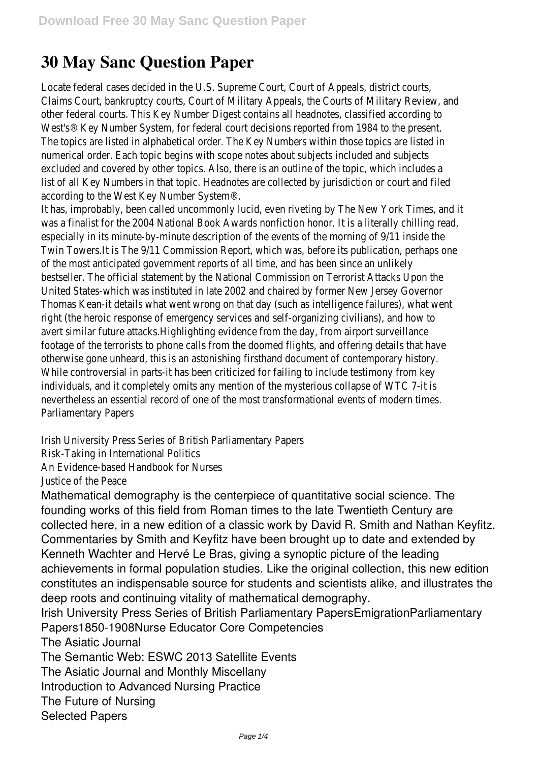## **30 May Sanc Question Paper**

Locate federal cases decided in the U.S. Supreme Court, Court of Appeals, district control. Claims Court, bankruptcy courts, Court of Military Appeals, the Courts of Military other federal courts. This Key Number Digest contains all headnotes, classified a West's® Key Number System, for federal court decisions reported from 1984 to The topics are listed in alphabetical order. The Key Numbers within those topics numerical order. Each topic begins with scope notes about subjects included and subjects included excluded and covered by other topics. Also, there is an outline of the topic, which list of all Key Numbers in that topic. Headnotes are collected by jurisdiction or co according to the West Key Number System

It has, improbably, been called uncommonly lucid, even riveting by The New York was a finalist for the 2004 National Book Awards nonfiction honor. It is a literally especially in its minute-by-minute description of the events of the morning of 9/ Twin Towers.It is The 9/11 Commission Report, which was, before its publication of the most anticipated government reports of all time, and has been since bestseller. The official statement by the National Commission on Terrorist Attad United States-which was instituted in late 2002 and chaired by former New Jer Thomas Kean-it details what went wrong on that day (such as intelligence failures right (the heroic response of emergency services and self-organizing civilians), avert similar future attacks. Highlighting evidence from the day, from airport footage of the terrorists to phone calls from the doomed flights, and offering det otherwise gone unheard, this is an astonishing firsthand document of contemporal While controversial in parts-it has been criticized for failing to include testimon individuals, and it completely omits any mention of the mysterious collapse of nevertheless an essential record of one of the most transformational events of n Parliamentary Pape

Irish University Press Series of British Parliamentary

Risk-Taking in International Po

An Evidence-based Handbook for N

Justice of the Pea

Mathematical demography is the centerpiece of quantitative social science. The founding works of this field from Roman times to the late Twentieth Century are collected here, in a new edition of a classic work by David R. Smith and Nathan Keyfitz. Commentaries by Smith and Keyfitz have been brought up to date and extended by Kenneth Wachter and Hervé Le Bras, giving a synoptic picture of the leading achievements in formal population studies. Like the original collection, this new edition constitutes an indispensable source for students and scientists alike, and illustrates the deep roots and continuing vitality of mathematical demography.

Irish University Press Series of British Parliamentary PapersEmigrationParliamentary Papers1850-1908Nurse Educator Core Competencies

The Asiatic Journal

The Semantic Web: ESWC 2013 Satellite Events

The Asiatic Journal and Monthly Miscellany

Introduction to Advanced Nursing Practice

The Future of Nursing

Selected Papers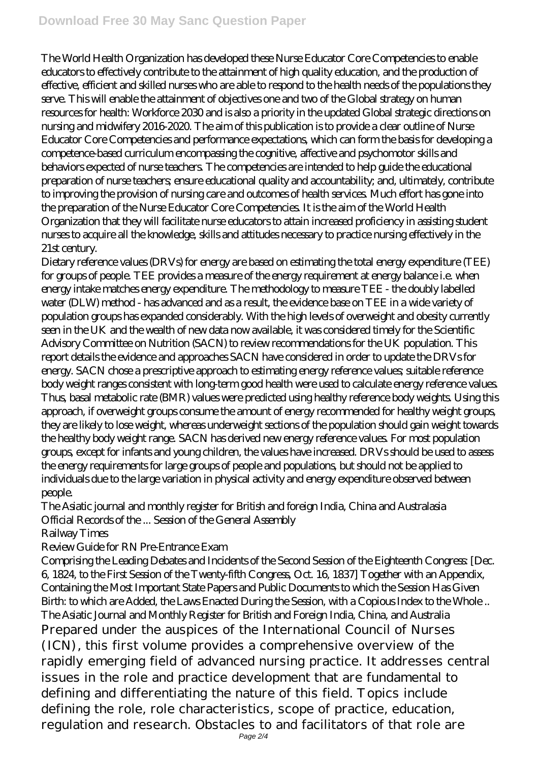The World Health Organization has developed these Nurse Educator Core Competencies to enable educators to effectively contribute to the attainment of high quality education, and the production of effective, efficient and skilled nurses who are able to respond to the health needs of the populations they serve. This will enable the attainment of objectives one and two of the Global strategy on human resources for health: Workforce 2030 and is also a priority in the updated Global strategic directions on nursing and midwifery 2016-2020. The aim of this publication is to provide a clear outline of Nurse Educator Core Competencies and performance expectations, which can form the basis for developing a competence-based curriculum encompassing the cognitive, affective and psychomotor skills and behaviors expected of nurse teachers. The competencies are intended to help guide the educational preparation of nurse teachers; ensure educational quality and accountability; and, ultimately, contribute to improving the provision of nursing care and outcomes of health services. Much effort has gone into the preparation of the Nurse Educator Core Competencies. It is the aim of the World Health Organization that they will facilitate nurse educators to attain increased proficiency in assisting student nurses to acquire all the knowledge, skills and attitudes necessary to practice nursing effectively in the 21st century.

Dietary reference values (DRVs) for energy are based on estimating the total energy expenditure (TEE) for groups of people. TEE provides a measure of the energy requirement at energy balance i.e. when energy intake matches energy expenditure. The methodology to measure TEE - the doubly labelled water (DLW) method - has advanced and as a result, the evidence base on TEE in a wide variety of population groups has expanded considerably. With the high levels of overweight and obesity currently seen in the UK and the wealth of new data now available, it was considered timely for the Scientific Advisory Committee on Nutrition (SACN) to review recommendations for the UK population. This report details the evidence and approaches SACN have considered in order to update the DRVs for energy. SACN chose a prescriptive approach to estimating energy reference values; suitable reference body weight ranges consistent with long-term good health were used to calculate energy reference values. Thus, basal metabolic rate (BMR) values were predicted using healthy reference body weights. Using this approach, if overweight groups consume the amount of energy recommended for healthy weight groups, they are likely to lose weight, whereas underweight sections of the population should gain weight towards the healthy body weight range. SACN has derived new energy reference values. For most population groups, except for infants and young children, the values have increased. DRVs should be used to assess the energy requirements for large groups of people and populations, but should not be applied to individuals due to the large variation in physical activity and energy expenditure observed between people.

The Asiatic journal and monthly register for British and foreign India, China and Australasia Official Records of the ... Session of the General Assembly

Railway Times

Review Guide for RN Pre-Entrance Exam

Comprising the Leading Debates and Incidents of the Second Session of the Eighteenth Congress: [Dec. 6, 1824, to the First Session of the Twenty-fifth Congress, Oct. 16, 1837] Together with an Appendix, Containing the Most Important State Papers and Public Documents to which the Session Has Given Birth: to which are Added, the Laws Enacted During the Session, with a Copious Index to the Whole .. The Asiatic Journal and Monthly Register for British and Foreign India, China, and Australia Prepared under the auspices of the International Council of Nurses (ICN), this first volume provides a comprehensive overview of the rapidly emerging field of advanced nursing practice. It addresses central issues in the role and practice development that are fundamental to defining and differentiating the nature of this field. Topics include defining the role, role characteristics, scope of practice, education, regulation and research. Obstacles to and facilitators of that role are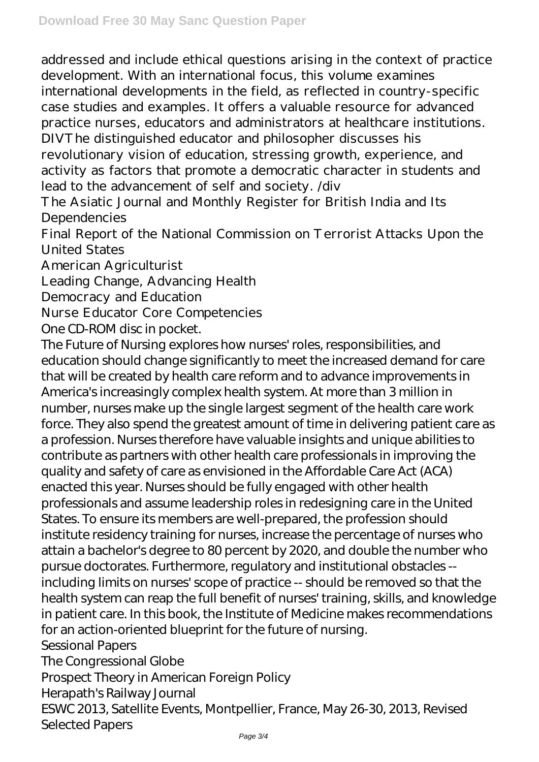addressed and include ethical questions arising in the context of practice development. With an international focus, this volume examines international developments in the field, as reflected in country-specific case studies and examples. It offers a valuable resource for advanced practice nurses, educators and administrators at healthcare institutions. DIVThe distinguished educator and philosopher discusses his revolutionary vision of education, stressing growth, experience, and activity as factors that promote a democratic character in students and lead to the advancement of self and society. /div

The Asiatic Journal and Monthly Register for British India and Its Dependencies

Final Report of the National Commission on Terrorist Attacks Upon the United States

American Agriculturist

Leading Change, Advancing Health

Democracy and Education

Nurse Educator Core Competencies

One CD-ROM disc in pocket.

The Future of Nursing explores how nurses' roles, responsibilities, and education should change significantly to meet the increased demand for care that will be created by health care reform and to advance improvements in America's increasingly complex health system. At more than 3 million in number, nurses make up the single largest segment of the health care work force. They also spend the greatest amount of time in delivering patient care as a profession. Nurses therefore have valuable insights and unique abilities to contribute as partners with other health care professionals in improving the quality and safety of care as envisioned in the Affordable Care Act (ACA) enacted this year. Nurses should be fully engaged with other health professionals and assume leadership roles in redesigning care in the United States. To ensure its members are well-prepared, the profession should institute residency training for nurses, increase the percentage of nurses who attain a bachelor's degree to 80 percent by 2020, and double the number who pursue doctorates. Furthermore, regulatory and institutional obstacles - including limits on nurses' scope of practice -- should be removed so that the health system can reap the full benefit of nurses' training, skills, and knowledge in patient care. In this book, the Institute of Medicine makes recommendations for an action-oriented blueprint for the future of nursing. Sessional Papers The Congressional Globe Prospect Theory in American Foreign Policy Herapath's Railway Journal ESWC 2013, Satellite Events, Montpellier, France, May 26-30, 2013, Revised

Selected Papers